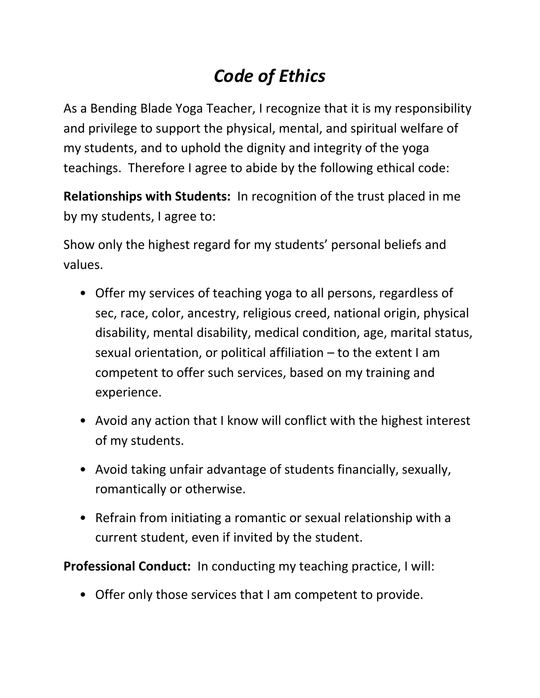## *Code of Ethics*

As a Bending Blade Yoga Teacher, I recognize that it is my responsibility and privilege to support the physical, mental, and spiritual welfare of my students, and to uphold the dignity and integrity of the yoga teachings. Therefore I agree to abide by the following ethical code:

**Relationships with Students:** In recognition of the trust placed in me by my students, I agree to:

Show only the highest regard for my students' personal beliefs and values.

- Offer my services of teaching yoga to all persons, regardless of sec, race, color, ancestry, religious creed, national origin, physical disability, mental disability, medical condition, age, marital status, sexual orientation, or political affiliation – to the extent I am competent to offer such services, based on my training and experience.
- Avoid any action that I know will conflict with the highest interest of my students.
- Avoid taking unfair advantage of students financially, sexually, romantically or otherwise.
- Refrain from initiating a romantic or sexual relationship with a current student, even if invited by the student.

**Professional Conduct:** In conducting my teaching practice, I will:

• Offer only those services that I am competent to provide.